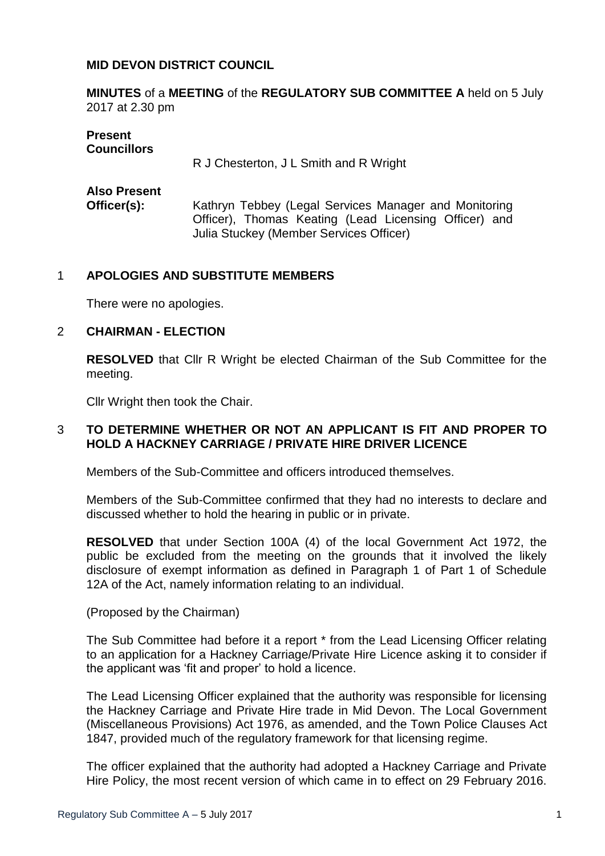### **MID DEVON DISTRICT COUNCIL**

**MINUTES** of a **MEETING** of the **REGULATORY SUB COMMITTEE A** held on 5 July 2017 at 2.30 pm

# **Present Councillors** R J Chesterton, J L Smith and R Wright **Also Present Officer(s):** Kathryn Tebbey (Legal Services Manager and Monitoring Officer), Thomas Keating (Lead Licensing Officer) and Julia Stuckey (Member Services Officer)

# 1 **APOLOGIES AND SUBSTITUTE MEMBERS**

There were no apologies.

#### 2 **CHAIRMAN - ELECTION**

**RESOLVED** that Cllr R Wright be elected Chairman of the Sub Committee for the meeting.

Cllr Wright then took the Chair.

## 3 **TO DETERMINE WHETHER OR NOT AN APPLICANT IS FIT AND PROPER TO HOLD A HACKNEY CARRIAGE / PRIVATE HIRE DRIVER LICENCE**

Members of the Sub-Committee and officers introduced themselves.

Members of the Sub-Committee confirmed that they had no interests to declare and discussed whether to hold the hearing in public or in private.

**RESOLVED** that under Section 100A (4) of the local Government Act 1972, the public be excluded from the meeting on the grounds that it involved the likely disclosure of exempt information as defined in Paragraph 1 of Part 1 of Schedule 12A of the Act, namely information relating to an individual.

(Proposed by the Chairman)

The Sub Committee had before it a report \* from the Lead Licensing Officer relating to an application for a Hackney Carriage/Private Hire Licence asking it to consider if the applicant was 'fit and proper' to hold a licence.

The Lead Licensing Officer explained that the authority was responsible for licensing the Hackney Carriage and Private Hire trade in Mid Devon. The Local Government (Miscellaneous Provisions) Act 1976, as amended, and the Town Police Clauses Act 1847, provided much of the regulatory framework for that licensing regime.

The officer explained that the authority had adopted a Hackney Carriage and Private Hire Policy, the most recent version of which came in to effect on 29 February 2016.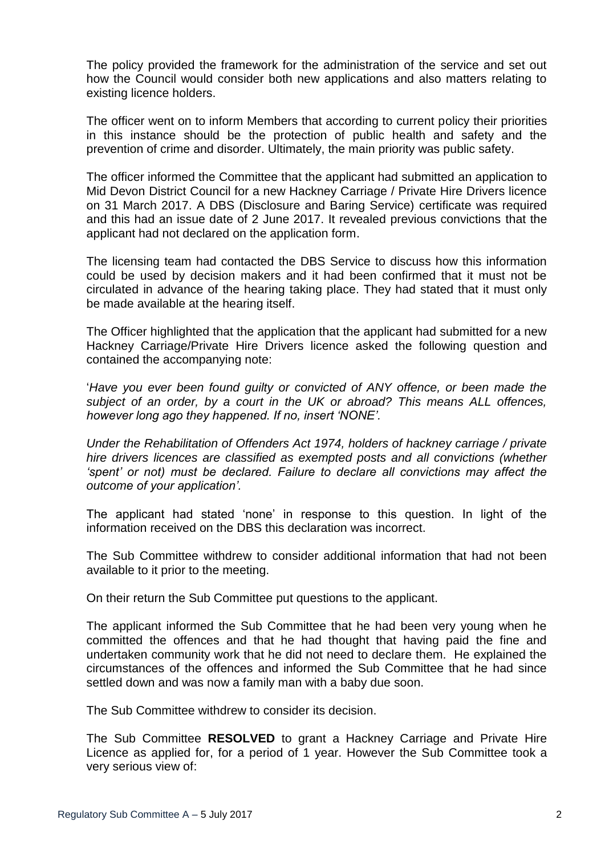The policy provided the framework for the administration of the service and set out how the Council would consider both new applications and also matters relating to existing licence holders.

The officer went on to inform Members that according to current policy their priorities in this instance should be the protection of public health and safety and the prevention of crime and disorder. Ultimately, the main priority was public safety.

The officer informed the Committee that the applicant had submitted an application to Mid Devon District Council for a new Hackney Carriage / Private Hire Drivers licence on 31 March 2017. A DBS (Disclosure and Baring Service) certificate was required and this had an issue date of 2 June 2017. It revealed previous convictions that the applicant had not declared on the application form.

The licensing team had contacted the DBS Service to discuss how this information could be used by decision makers and it had been confirmed that it must not be circulated in advance of the hearing taking place. They had stated that it must only be made available at the hearing itself.

The Officer highlighted that the application that the applicant had submitted for a new Hackney Carriage/Private Hire Drivers licence asked the following question and contained the accompanying note:

'*Have you ever been found guilty or convicted of ANY offence, or been made the subject of an order, by a court in the UK or abroad? This means ALL offences, however long ago they happened. If no, insert 'NONE'.*

*Under the Rehabilitation of Offenders Act 1974, holders of hackney carriage / private hire drivers licences are classified as exempted posts and all convictions (whether 'spent' or not) must be declared. Failure to declare all convictions may affect the outcome of your application'.*

The applicant had stated 'none' in response to this question. In light of the information received on the DBS this declaration was incorrect.

The Sub Committee withdrew to consider additional information that had not been available to it prior to the meeting.

On their return the Sub Committee put questions to the applicant.

The applicant informed the Sub Committee that he had been very young when he committed the offences and that he had thought that having paid the fine and undertaken community work that he did not need to declare them. He explained the circumstances of the offences and informed the Sub Committee that he had since settled down and was now a family man with a baby due soon.

The Sub Committee withdrew to consider its decision.

The Sub Committee **RESOLVED** to grant a Hackney Carriage and Private Hire Licence as applied for, for a period of 1 year. However the Sub Committee took a very serious view of: